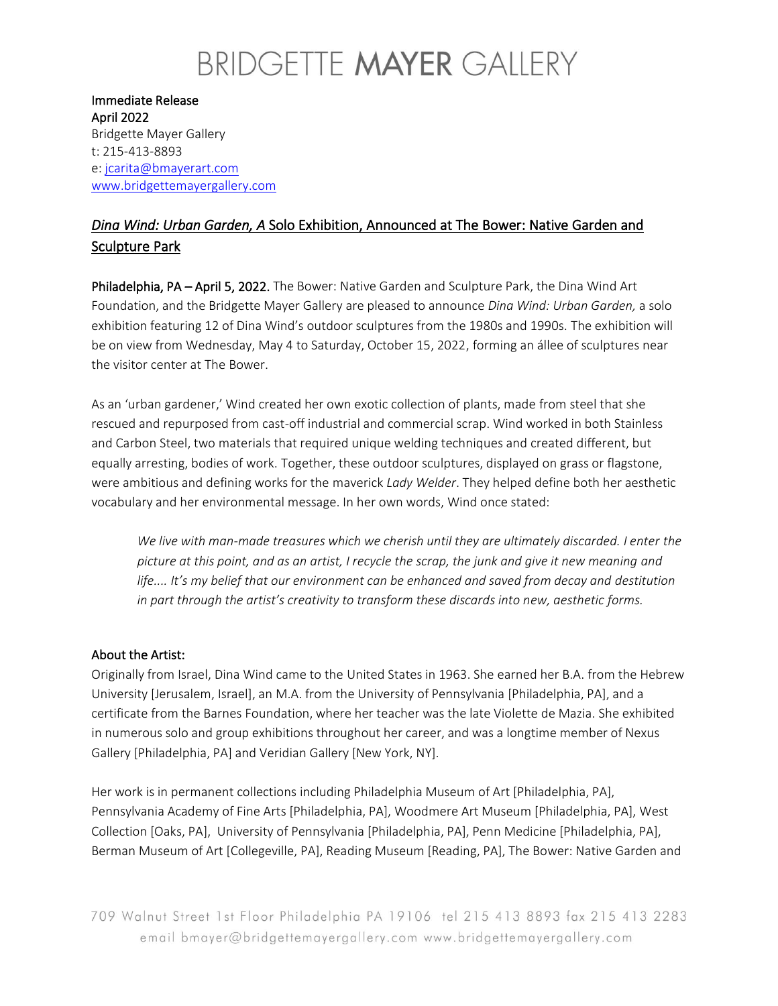## BRIDGETTE MAYER GALLERY

Immediate Release April 2022 Bridgette Mayer Gallery t: 215-413-8893 e: [jcarita@bmayerart.com](mailto:jcarita@bmayerart.com) [www.bridgettemayergallery.com](http://www.bridgettemayergallery.com/)

### *Dina Wind: Urban Garden, A* Solo Exhibition, Announced at The Bower: Native Garden and Sculpture Park

Philadelphia, PA – April 5, 2022. The Bower: Native Garden and Sculpture Park, the Dina Wind Art Foundation, and the Bridgette Mayer Gallery are pleased to announce *Dina Wind: Urban Garden,* a solo exhibition featuring 12 of Dina Wind's outdoor sculptures from the 1980s and 1990s. The exhibition will be on view from Wednesday, May 4 to Saturday, October 15, 2022, forming an állee of sculptures near the visitor center at The Bower.

As an 'urban gardener,' Wind created her own exotic collection of plants, made from steel that she rescued and repurposed from cast-off industrial and commercial scrap. Wind worked in both Stainless and Carbon Steel, two materials that required unique welding techniques and created different, but equally arresting, bodies of work. Together, these outdoor sculptures, displayed on grass or flagstone, were ambitious and defining works for the maverick *Lady Welder*. They helped define both her aesthetic vocabulary and her environmental message. In her own words, Wind once stated:

*We live with man-made treasures which we cherish until they are ultimately discarded. I enter the picture at this point, and as an artist, I recycle the scrap, the junk and give it new meaning and life.... It's my belief that our environment can be enhanced and saved from decay and destitution in part through the artist's creativity to transform these discards into new, aesthetic forms.* 

#### About the Artist:

Originally from Israel, Dina Wind came to the United States in 1963. She earned her B.A. from the Hebrew University [Jerusalem, Israel], an M.A. from the University of Pennsylvania [Philadelphia, PA], and a certificate from the Barnes Foundation, where her teacher was the late Violette de Mazia. She exhibited in numerous solo and group exhibitions throughout her career, and was a longtime member of Nexus Gallery [Philadelphia, PA] and Veridian Gallery [New York, NY].

Her work is in permanent collections including Philadelphia Museum of Art [Philadelphia, PA], Pennsylvania Academy of Fine Arts [Philadelphia, PA], Woodmere Art Museum [Philadelphia, PA], West Collection [Oaks, PA], University of Pennsylvania [Philadelphia, PA], Penn Medicine [Philadelphia, PA], Berman Museum of Art [Collegeville, PA], Reading Museum [Reading, PA], The Bower: Native Garden and

709 Walnut Street 1st Floor Philadelphia PA 19106 tel 215 413 8893 fax 215 413 2283 email bmayer@bridgettemayergallery.com www.bridgettemayergallery.com